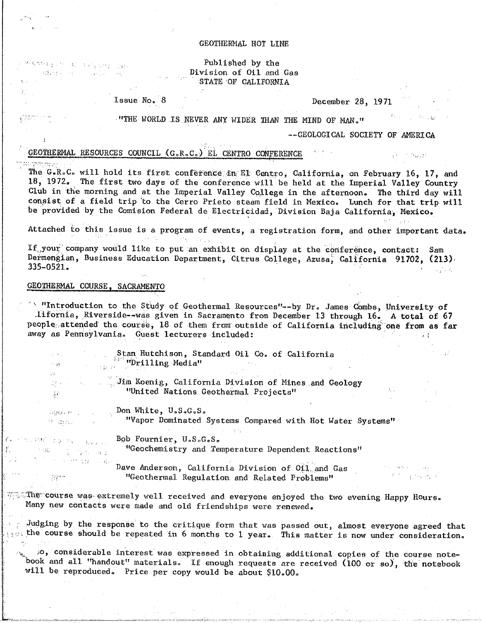#### GEOTHERMAL HOT LINE

### Published by the Division of Oil and Gas STATE OF CALIFORNIA

Issue No. 8

December 28, 1971

"THE WORLD IS NEVER ANY WIDER THAN THE MIND OF MAN."

#### --GEOLOGICAL SOCIETY OF AMERICA

 $\frac{1}{2} \mathbf{1} = \mathbf{0} \mathbf{0}_{k \neq 1} \mathbf{1}$ 

<sup>e n</sup>i azykor

# GEOTHERMAL RESOURCES COUNCIL (G.R.C.) EL CENTRO CONFERENCE

 $\lambda$  and  $\lambda$  and  $\lambda$ 

The G.R.C. will hold its first conference in El Centro, California, on February 16, 17, and 18, 1972. The first two days of the conference will be held at the Imperial Valley Country Club in the morning and at the Imperial Valley College in the afternoon. The third day will consist of a field trip to the Cerro Prieto steam field in Mexico. Lunch for that trip will be provided by the Comision Federal de Electricidad, Division Baja California, Mexico.

Attached to this issue is a program of events, a registration form, and other important data.

If your company would like to put an exhibit on display at the conference, contact: Sam Dermengian, Business Education Department, Citrus College, Azusa, California 91702, (213)  $335 - 0521.$  $\mathcal{L}(\mathcal{L})$  and  $\mathcal{L}(\mathcal{L})$ 

# GEOTHERMAL COURSE, SACRAMENTO

segaar post oo ah aan paan san

 $\sim 10^{11}$  cm  $^{-1}$ 

 $\sim 10^{-11}$ 

Agnes Construction

ट रॅमे

" "Introduction to the Study of Geothermal Resources"--by Dr. James Combs, University of .11fornia, Riverside--was given in Sacramento from December 13 through 16. A total of 67 people attended the course, 18 of them from outside of California including one from as far away as Pennsylvania. Guest lecturers included:

> Stan Hutchison, Standard Oil Co. of California  $\frac{L_{\mu\nu}}{L_{\mu\nu}L_{\nu}}$  "Drilling Media"

Jim Koenig, California Division of Mines and Geology "United Nations Geothermal Projects"

Don White, U.S.G.S. WARE COMMUNIST  $Y = G(f)$ 

 $\sim \rho_{\rm A}$ г'n.

 $\mathbb{Z}^{2n}$  .

 $\mathcal{M}^+$ 

termi v

 $\sim 3\Omega$ 

THE TO PRODUCT

 $\label{eq:1} \mathbb{E}[\mathbb{E}[\mathbf{x}^{\text{in}}] \mathbb{E}_{\mathbf{p}} \mathbf{v}_{\text{in}}] = \mathbf{g}_{\text{out}}$ 

生产性血红 同胞

"Vapor Dominated Systems Compared with Hot Water Systems"

Bob Fournier, U.S.G.S.

"Geochemistry and Temperature Dependent Reactions"

Dave Anderson, California Division of Oil and Gas "Geothermal Regulation and Related Problems"

 $\tau$  . The course was extremely well received and everyone enjoyed the two evening Happy Hours. Many new contacts were made and old friendships were renewed.

Judging by the response to the critique form that was passed out, almost everyone agreed that  $\circ$  the course should be repeated in 6 months to 1 year. This matter is now under consideration.

jo, considerable interest was expressed in obtaining additional copies of the course notebook and all "handout" materials. If enough requests are received (100 or so), the notebook will be reproduced. Price per copy would be about \$10.00.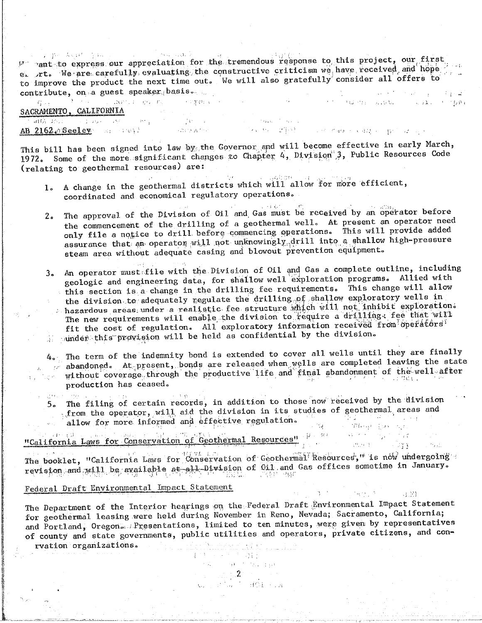provent to express our appreciation for the tremendous response to this project, our first e. rt. We are carefully evaluating the constructive criticism we have received and hope to improve the product the next time out. We will also gratefully consider all offers to contribute, on a guest speaker basis. عادوني والمستور المراجع والمحافظ

.<br>ດຽວຊື້ ໄດ້ກ່າວ ມີລະຫານາກ ແລະ ຫລື ກ່າວຫຼາຍຂອງ ກໍ່ລະການ ກໍ່ລະການ ກໍ່ລະການ ການ ການ ແລະ ແລະພະ ກໍ່ລະຫວ່ານ ໃນປະກອບ SACRAMENTO, CALIFORNIA

**AB 2162 (ASSESSMENT)** (ASSESSMENT) (ASSESSMENT) (ASSESSMENT) (ASSESSMENT) (ASSESSMENT) (ASSESSMENT) (ASSESSMENT) (ASSESSMENT) (ASSESSMENT) (ASSESSMENT) (ASSESSMENT) (ASSESSMENT) (ASSESSMENT) (ASSESSMENT) (ASSESSMENT) (ASS

This bill has been signed into law by the Governor and will become effective in early March, 1972. Some of the more significant changes to Chapter 4, Division 3, Public Resources Code (relating to geothermal resources) are:

- 1. A change in the geothermal districts which will allow for more efficient, coordinated and economical regulatory operations.
- The approval of the Division of Oil and Gas must be received by an operator before  $2<sub>o</sub>$ the commencement of the drilling of a geothermal well. At present an operator need only file a notice to drill before commencing operations. This will provide added assurance that an operator will not unknowingly drill into a shallow high-pressure steam area without adequate casing and blowout prevention equipment.
- 3. An operator must file with the Division of Oil and Gas a complete outline, including geologic and engineering data, for shallow well exploration programs. Allied with this section is a change in the drilling fee requirements. This change will allow the division to adequately regulate the drilling of shallow exploratory wells in hazardous areas under a realistic fee structure which will not inhibit exploration.<br>The new requirements will enable the division to require a drilling: fee that will fit the cost of regulation. All exploratory information received from operators under this provision will be held as confidential by the division.
- 4. The term of the indemnity bond is extended to cover all wells until they are finally abandoned. At present, bonds are released when wells are completed leaving the state without coverage through the productive life and final abandonment of the well after production has ceased.
	- aterial medical 5. The filing of certain records, in addition to those now received by the division from the operator, will aid the division in its studies of geothermal areas and allow for more informed and effective regulation.

# "California Laws for Conservation of Geothermal Resources" (1998) and the conservation of Geothermal Resources

The booklet, "California Laws for Conservation of Geothermal Resources," is now undergoing revision and will be available at all Division of Oil and Gas offices sometime in January.

# Federal Draft Environmental Impact Statement

The Department of the Interior hearings on the Federal Draft Environmental Impact Statement for geothermal leasing were held during November in Reno, Nevada; Sacramento, California; and Portland, Oregon. Presentations, limited to ten minutes, were given by representatives of county and state governments, public utilities and operators, private citizens, and conrvation organizations. a provincia de la parte.<br>Al la constanta de la característica de la parte de la característica de la característica de la característic

 $\begin{array}{ll} \mathbb{E}[\mathbb{E}[\mathbb{E}[\mathbb{E}[\mathbb{E}[\mathbb{E}[\mathbb{E}[\mathbb{E}[\mathbb{E}[\mathbb{E}[\mathbb{E}[\mathbb{E}[\mathbb{E}[\mathbb{E}[\mathbb{E}[\mathbb{E}[\mathbb{E}[\mathbb{E}[\mathbb{E}[\mathbb{E}[\mathbb{E}[\mathbb{E}[\mathbb{E}[\mathbb{E}[\mathbb{E}[\mathbb{E}[\mathbb{E}[\mathbb{E}[\mathbb{E}[\mathbb{E}[\mathbb{E}[\mathbb{E}[\mathbb{E}[\mathbb{E}[\mathbb{E}[\mathbb$ 

 $\mathbf{P}^{\text{in}}$  and  $\mathbf{P}^{\text{in}}$  and  $\mathbf{P}^{\text{in}}$ Social State of Care that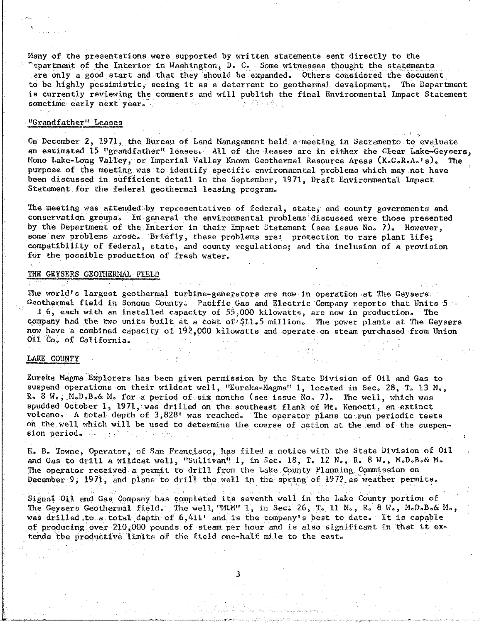Many of the presentations were supported by written statements sent directly to the<br>"epartment of the Interior in Washington, D. C. Some witnesses thought the statements ere only a good start and that they should be expanded. Others considered the document to be highly pessimistic, seeing it as a deterrent to geothermal development. The Department is currently reviewing the comments and will publish the final Environmental Impact Statement  $i$ s currently reviewed the comments and will publish the final Environmental Impact Statemental Impact Statemental Impact Statemental Impact Statemental Impact Statemental Impact Statemental Impact Statemental Impact Sta sometime early next year°

#### "Grandfather" Leases  $\overline{\phantom{a}}$

On December 2, 1971, the Bureau of Land Management held a meeting in Sacramento to evaluate<br>an estimated 15 "grandfather" leases. All of the leases are in either the Clear Lake-Geysers, Mono Lake-Long Valley, or Imperial Valley Known Geothermal Resource Areas (K.G.R.A.'s). purpose of the meeting was to identify specific environmental problems which may not have been discussed in sufficient detail in the September, 1971, Draft Environmental Impact been discussed in sufficient detail in the September, 1971, Draft Environmental Impact Statement for the federal geothermal leasing program°

The meeting was attended by representatives of federal, state, and county governments and conservation groups. In general the environmental problems discussed were those presented by the Department of the Interior in their Impact Statement (see issue No. 7). However, some new problems arose. Briefly, these problems are: protection to rare plant life; compatibility of federal, state, and county regulations; and the inclusion of a provision for the possible production of from county  $\epsilon$ for the possible p\_oduction of fresh water°

#### THE GEYSERS GEOTHERMAL FIELD

The world's largest geothermal turbine-generators are now in operation at The Geysers.<br>Ceothermal field in Sonoma County. Pacific Gas and Electric Company reports that Units 5

1 6, each with an installed capacity of 55,000 kilowatts, are now in production. The company had the two units built at a cost of \$11.5 million. The power plants at The Geysers now have a combined capacity of 192,000 kilowatts and operate on steam purchased from Union  $0.1$  compiled capacity of 192,000 km steam purchased from  $\alpha$  is and operator. Steam purchased from Union Union Union Union Union Union Union Union Union Union Union Union Union Union Union Union Union Union Union Union The You on California

#### LAKE COUNTY

Eureka Magma Explorers has been given permission by the State Division of Oil and Gas to suspend operations on their wildcat well, "Eureka-Magma" 1, located in Sec. 28, T. 13 N., R. 8 W., M.D.B.& M. for a period of six months (see issue No. 7). The well, which was spudded October 1, 1971, was drilled on the southeast flank of Mt. Konocti, an extinct volcano. A total depth of 3,828' was reached. The operator plans to run periodic tests  $\omega$  the voll which  $\omega$ <sup>3</sup> he used to determine the second of  $\omega$  the operator plans to. of  $\alpha$  the will be used to determine the course of action at the course of  $\alpha$  the suspense of the suspense of the suspense of the suspense of the suspense of the suspense of the suspense of the suspension period. See the second second

E. B. Towne, Operator, of San Francisco, has filed a notice with the State Division of Oil and Gas to drill a wildcat well, "Sullivan" 1, in Sec. 18, T. 12 N., R. 8 W., M.D.B.& M. The operator received a permit to drill from the Lake County Planning Commission on December 9  $1971$  and plane to drill the vell in the enring of 1972 equather permit December 9, 1971 and plans to drive we we we have well to decompose the weather permits of 1972 as weather per

Signal Oil and Gas Company has completed its seventh well in the Lake County portion of<br>The Geysers Geothermal field. The well, "MLM" 1, in Sec. 26, T. 11 N., R. 8 W., M.D.B.& M., was drilled to a total depth of  $6,411'$  and is the company's best to date. It is capable of producing over 210,000 pounds of steam per hour and is also significant in that it ex- $\epsilon$  and  $\epsilon$  produces  $\epsilon$  it significant  $\epsilon$  steam per hour and it extension in the items it examination in the items in the items in the items in the items in the items in the items in the items in the items in the it tends the productive limits of the field one-half mile to the east°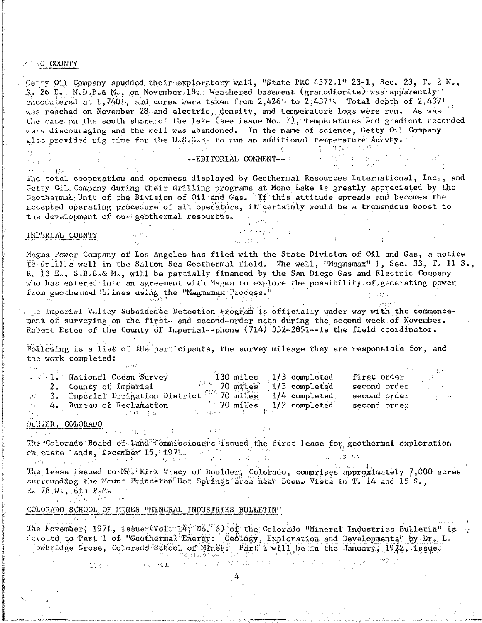#### 27 NO COUNTY

₫.

 $7.74$ 

Getty 011 Company spudded their exploratory well, "State PRC 4572.1" 23-1, Sec. 23, T. 2 N., R. 26 E., M.D.B.& M., on November 18. Weathered basement (granodiorite) was apparently encountered at  $1,740$ ', and cores were taken from  $2,426$ ' to  $2,437$ '. Total depth of  $2,437$ ' was reached on November 28 and electric, density, and temperature logs were run. As was were discouraging and the well was abandoned. In the name of science, Getty Oil Company also provided rig time for the U.S.G.S. to run an additional temperature survey. 是, 有些的 的复数 电电子 经规模模

--EDITORIAL COMMENT--

ern ist for The total cooperation and openness displayed by Geothermal Resources International, Inc., and Getty Oil. Company during their drilling programs at Mono Lake is greatly appreciated by the Geothermal Unit of the Division of Oil and Gas. If this attitude spreads and becomes the accepted operating procedure of all operators, it certainly would be a tremendous boost to the development of our geothermal resources.

#### IMPERIAL COUNTY

Magma Power Company of Los Angeles has filed with the State Division of Oil and Gas, a notice to drill a well in the Salton Sea Geothermal field. The well, "Magmamax" 1, Sec. 33, T. 11 S., R. 13 E., S.B.B.& M., will be partially financed by the San Diego Gas and Electric Company who has entered into an agreement with Magma to explore the possibility of generating power from geothermal brines using the "Magmamax Process."

 $\mathbb{C}$  , and  $\mathbb{C}$  , and  $\mathbb{C}$  , and  $\mathbb{C}$ 

ADON STATE

 $3500$ e Imperial Valley Subsidence Detection Program is officially under way with the commencement of surveying on the first- and second-order nets during the second week of November. Robert Estes of the County of Imperial--phone (714) 352-2851--is the field coordinator.

Following is a list of the participants, the survey mileage they are responsible for, and the work completed: sukan l

| while National Ocean Survey     |                |  | $130$ miles $1/3$ completed | first order  |  |
|---------------------------------|----------------|--|-----------------------------|--------------|--|
| 2. County of Imperial           | $101$ 70 miles |  | $1/3$ completed             | second order |  |
| 3. Imperial Irrigation District | $106$ 70 miles |  | $1/4$ completed             | second order |  |
| sta 4. Bureau of Reclamation    |                |  | $1/2$ completed             | second order |  |
|                                 |                |  |                             |              |  |

#### DENVER, COLORADO

The Colorado Board of Land Commissioners issued the first lease for geothermal exploration in jihaya waxaa kale iyo waxaa sada ch state lands, December  $15$ , 1971.  $\sim 1.31\,\mathrm{Jy/m}$ Listing Na  $\sim$  parameters

学校(10) 1

 $\langle \gamma_{\alpha} \rangle / \langle \gamma_{\mu} \gamma_{\nu} \rangle = \langle \Gamma_{\nu} \mathcal{O}^{\dagger} \rangle$ The lease issued to Mr. Kirk Tracy of Boulder, Colorado, comprises approximately 7,000 acres surrounding the Mount Princeton Hot Springs area hear Buena Vista in T. 14 and 15 S.,  $R_0$  78  $W_0$ , 6th  $P_0M_0$  $\mathcal{L}_{\mathcal{A}} \subset \mathcal{L}_{\mathcal{A}}$  , with  $\mathcal{L}_{\mathcal{A}}$ 

COLORADO SCHOOL OF MINES "MINERAL INDUSTRIES BULLETIN"

**SE 1000** 

The November, 1971, issue (Vol. 14, No. 6) of the Colorado "Mineral Industries Bulletin" is devoted to Part 1 of "Geothermal Energy: Geology, Exploration and Developments" by Dr. L.<br>wbridge Grose, Colorado School of Mines. Part 2 will be in the January, 1972, 1ssue. o plan men ingen universitär

ົາສູ່ ເຊຍ⊉າ ມີ ກຳນັ້ນ ເລິ່ງ ໃນ ໃນ ມີຊີ " ໜ້າ ມີ ມີ ເຊຍ ໄດ້ເຈົ້າ ເຈົ້າ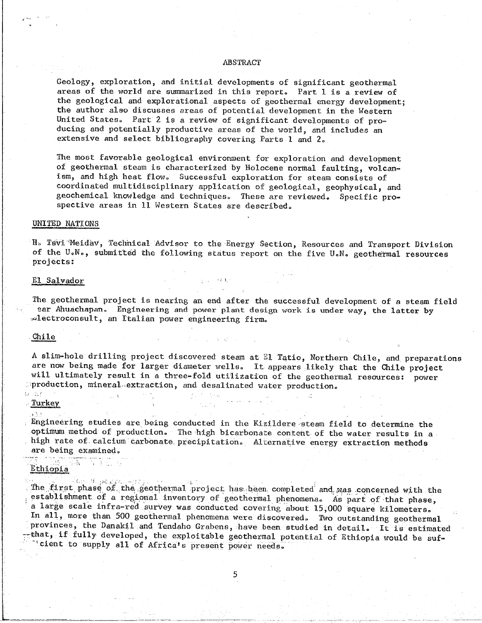#### ABSTRACT

Geology, exploration, and initial developments of significant geothermal areas of the world are summarized in this report. Part I is a review of the geological and explorational aspects of geothermal energy development: the author also discusses areas of potential development in the Western United States. Part 2 is a review of significant developments of producing and potentially productive areas of the world, and includes an  $\alpha$  areas of potential production  $\rho$  and  $\rho$ extensive and select bibliography covering Parts I and 2**o**

The most favorable geological environment for exploration and development<br>of geothermal steam is characterized by Holocene normal faulting, volcanism, and high heat flow. Successful exploration for steam consists of coordinated multidisciplinary application of geological, geophysical, and geochemical knowledge and techniques. These are reviewed. Specific progeochive areas in 11 Western States are decorated<sup>3</sup> spective areas in II Western States are described°

 $\rightarrow$  3  $\rightarrow$ 

#### UNITED NATIONS UNITED NATIONAL ANGELIS DE LA PROPERTY DE LA PROPERTY DE LA PROPERTY DE LA PROPERTY DE LA PROPERTY DE LA PROPE<br>LA PROPERTY DE LA PROPERTY DE LA PROPERTY DE LA PROPERTY DE LA PROPERTY DE LA PROPERTY DE LA PROPERTY DE LA PR

of the  $U_nN_{n}$ , submitted the following status report on the five  $\prod_{i=1}^{n} N_i$  coothermal resources of the U**o**N**o**, submi:\_h4d the following status report on the five U**o**N**o** geothermal resources projects:

#### El Salvador

The geothermal project is nearing an end after the successful development of a steam field<br>ear Ahuachapan. Engineering and power plant design work is under way, the latter by ed ectroconsult, an Italian power engineering firm •\_le**e**troconsult, an Italian power engineering firm°

# chiles **children and the company of the company of the company of the company of the company of the company of the company of the company of the company of the company of the company of the company of the company of the co**

A slim-hole drilling project discovered steam at El Tatio, Northern Chile, and preparations are now being made for larger diameter wells. It appears likely that the Chile project will ultimately result in a three-fold utilization of the geothermal resources: power  $production.$  mineral extraction, and desalinated water production ;:production, mineral.\_extrac\_ion\_ and desalinated water production**°**

Turke $\sim$  . Turke  $\sim$  . Turke  $\sim$  . Turke  $\sim$  . Turke  $\sim$  . Turke  $\sim$  . Turke  $\sim$  . Turke  $\sim$  . Turke  $\sim$  .

Engineering studies are being conducted in the Kizildere steam field to determine the optimum method of production. The high bicarbonate content of the water results in a optimum method of production° The.high bicarbonate content of the water results in a high rate of. calcium carbonate precipitation**°** Alternative energy extraction methods are being examined.<br><sup>2</sup>

#### Ethiopia

Alam Milyagiga The first phase of the geothermal project has been completed and was concerned with the establishment of a regional inventory of geothermal phenomena. As part of that phase, a large scale infra-red survey was conducted covering about 15,000 square kilometers. In all, more than 500 geothermal phenomena were discovered. Two outstanding geothermal provinces, the Danakil and Tendaho Grabens, have been studied in detail. It is estimated provinces, if fully developed, the exploitable geothermal potential of Ethiopia would be suf- $\sim$  -telent to supply all of Africals present power people -°cient to supply all of Africa\_s present power needs**°**